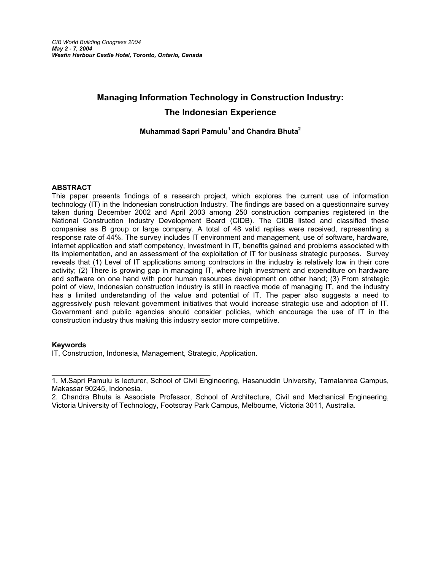# **Managing Information Technology in Construction Industry: The Indonesian Experience**

# **Muhammad Sapri Pamulu1 and Chandra Bhuta2**

#### **ABSTRACT**

This paper presents findings of a research project, which explores the current use of information technology (IT) in the Indonesian construction Industry. The findings are based on a questionnaire survey taken during December 2002 and April 2003 among 250 construction companies registered in the National Construction Industry Development Board (CIDB). The CIDB listed and classified these companies as B group or large company. A total of 48 valid replies were received, representing a response rate of 44%. The survey includes IT environment and management, use of software, hardware, internet application and staff competency, Investment in IT, benefits gained and problems associated with its implementation, and an assessment of the exploitation of IT for business strategic purposes. Survey reveals that (1) Level of IT applications among contractors in the industry is relatively low in their core activity; (2) There is growing gap in managing IT, where high investment and expenditure on hardware and software on one hand with poor human resources development on other hand; (3) From strategic point of view, Indonesian construction industry is still in reactive mode of managing IT, and the industry has a limited understanding of the value and potential of IT. The paper also suggests a need to aggressively push relevant government initiatives that would increase strategic use and adoption of IT. Government and public agencies should consider policies, which encourage the use of IT in the construction industry thus making this industry sector more competitive.

#### **Keywords**

IT, Construction, Indonesia, Management, Strategic, Application.

\_\_\_\_\_\_\_\_\_\_\_\_\_\_\_\_\_\_\_\_\_\_\_\_\_\_\_\_\_\_\_\_\_ 1. M.Sapri Pamulu is lecturer, School of Civil Engineering, Hasanuddin University, Tamalanrea Campus, Makassar 90245, Indonesia.

<sup>2.</sup> Chandra Bhuta is Associate Professor, School of Architecture, Civil and Mechanical Engineering, Victoria University of Technology, Footscray Park Campus, Melbourne, Victoria 3011, Australia.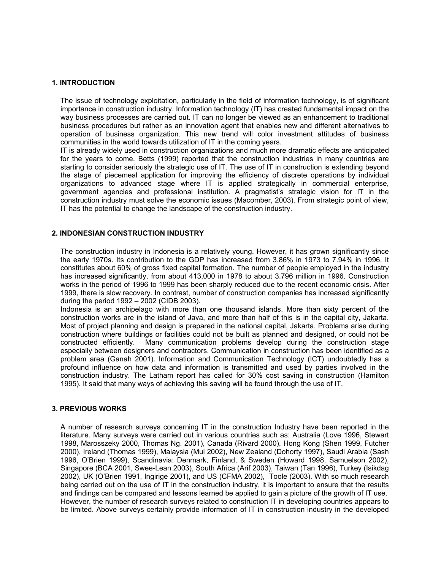## **1. INTRODUCTION**

The issue of technology exploitation, particularly in the field of information technology, is of significant importance in construction industry. Information technology (IT) has created fundamental impact on the way business processes are carried out. IT can no longer be viewed as an enhancement to traditional business procedures but rather as an innovation agent that enables new and different alternatives to operation of business organization. This new trend will color investment attitudes of business communities in the world towards utilization of IT in the coming years.

IT is already widely used in construction organizations and much more dramatic effects are anticipated for the years to come. Betts (1999) reported that the construction industries in many countries are starting to consider seriously the strategic use of IT. The use of IT in construction is extending beyond the stage of piecemeal application for improving the efficiency of discrete operations by individual organizations to advanced stage where IT is applied strategically in commercial enterprise, government agencies and professional institution. A pragmatist's strategic vision for IT in the construction industry must solve the economic issues (Macomber, 2003). From strategic point of view, IT has the potential to change the landscape of the construction industry.

# **2. INDONESIAN CONSTRUCTION INDUSTRY**

The construction industry in Indonesia is a relatively young. However, it has grown significantly since the early 1970s. Its contribution to the GDP has increased from 3.86% in 1973 to 7.94% in 1996. It constitutes about 60% of gross fixed capital formation. The number of people employed in the industry has increased significantly, from about 413,000 in 1978 to about 3.796 million in 1996. Construction works in the period of 1996 to 1999 has been sharply reduced due to the recent economic crisis. After 1999, there is slow recovery. In contrast, number of construction companies has increased significantly during the period 1992 – 2002 (CIDB 2003).

Indonesia is an archipelago with more than one thousand islands. More than sixty percent of the construction works are in the island of Java, and more than half of this is in the capital city, Jakarta. Most of project planning and design is prepared in the national capital, Jakarta. Problems arise during construction where buildings or facilities could not be built as planned and designed, or could not be constructed efficiently. Many communication problems develop during the construction stage especially between designers and contractors. Communication in construction has been identified as a problem area (Ganah 2001). Information and Communication Technology (ICT) undoubtedly has a profound influence on how data and information is transmitted and used by parties involved in the construction industry. The Latham report has called for 30% cost saving in construction (Hamilton 1995). It said that many ways of achieving this saving will be found through the use of IT.

#### **3. PREVIOUS WORKS**

A number of research surveys concerning IT in the construction Industry have been reported in the literature. Many surveys were carried out in various countries such as: Australia (Love 1996, Stewart 1998, Marosszeky 2000, Thomas Ng. 2001), Canada (Rivard 2000), Hong Kong (Shen 1999, Futcher 2000), Ireland (Thomas 1999), Malaysia (Mui 2002), New Zealand (Dohorty 1997), Saudi Arabia (Sash 1996, O'Brien 1999), Scandinavia: Denmark, Finland, & Sweden (Howard 1998, Samuelson 2002), Singapore (BCA 2001, Swee-Lean 2003), South Africa (Arif 2003), Taiwan (Tan 1996), Turkey (Isikdag 2002), UK (O'Brien 1991, Ingirige 2001), and US (CFMA 2002), Toole (2003). With so much research being carried out on the use of IT in the construction industry, it is important to ensure that the results and findings can be compared and lessons learned be applied to gain a picture of the growth of IT use. However, the number of research surveys related to construction IT in developing countries appears to be limited. Above surveys certainly provide information of IT in construction industry in the developed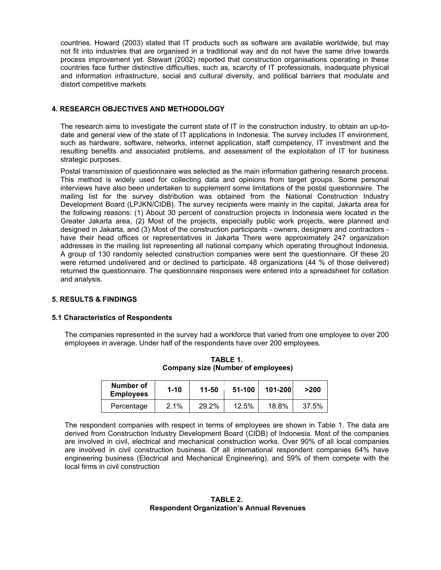countries. Howard (2003) stated that IT products such as software are available worldwide, but may not fit into industries that are organised in a traditional way and do not have the same drive towards process improvement yet. Stewart (2002) reported that construction organisations operating in these countries face further distinctive difficulties, such as, scarcity of IT professionals, inadequate physical and information infrastructure, social and cultural diversity, and political barriers that modulate and distort competitive markets

# **4. RESEARCH OBJECTIVES AND METHODOLOGY**

The research aims to investigate the current state of IT in the construction industry, to obtain an up-todate and general view of the state of IT applications in Indonesia. The survey includes IT environment, such as hardware, software, networks, internet application, staff competency, IT investment and the resulting benefits and associated problems, and assessment of the exploitation of IT for business strategic purposes.

Postal transmission of questionnaire was selected as the main information gathering research process. This method is widely used for collecting data and opinions from target groups. Some personal interviews have also been undertaken to supplement some limitations of the postal questionnaire. The mailing list for the survey distribution was obtained from the National Construction Industry Development Board (LPJKN/CIDB). The survey recipients were mainly in the capital, Jakarta area for the following reasons: (1) About 30 percent of construction projects in Indonesia were located in the Greater Jakarta area, (2) Most of the projects, especially public work projects, were planned and designed in Jakarta, and (3) Most of the construction participants - owners, designers and contractors have their head offices or representatives in Jakarta There were approximately 247 organization addresses in the mailing list representing all national company which operating throughout Indonesia. A group of 130 randomly selected construction companies were sent the questionnaire. Of these 20 were returned undelivered and or declined to participate. 48 organizations (44 % of those delivered) returned the questionnaire. The questionnaire responses were entered into a spreadsheet for collation and analysis.

#### **5. RESULTS & FINDINGS**

#### **5.1 Characteristics of Respondents**

The companies represented in the survey had a workforce that varied from one employee to over 200 employees in average. Under half of the respondents have over 200 employees.

| Number of<br><b>Employees</b> | $1 - 10$ | 11-50 | 51-100 | 101-200 | >200  |
|-------------------------------|----------|-------|--------|---------|-------|
| Percentage                    | 2.1%     | 29.2% | 12.5%  | 18.8%   | 37.5% |

**TABLE 1. Company size (Number of employees)** 

The respondent companies with respect in terms of employees are shown in Table 1. The data are derived from Construction Industry Development Board (CIDB) of Indonesia. Most of the companies are involved in civil, electrical and mechanical construction works. Over 90% of all local companies are involved in civil construction business. Of all international respondent companies 64% have engineering business (Electrical and Mechanical Engineering), and 59% of them compete with the local firms in civil construction

## **TABLE 2. Respondent Organization's Annual Revenues**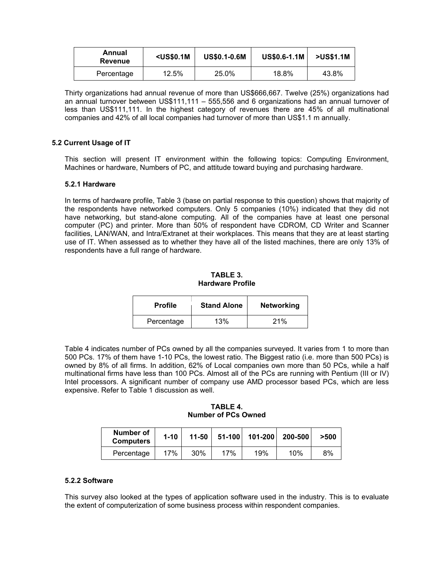| Annual<br><b>Revenue</b> | $US$0.1M$ | <b>US\$0.1-0.6M</b> | <b>US\$0.6-1.1M</b> | >US\$1.1M |
|--------------------------|-----------|---------------------|---------------------|-----------|
| Percentage               | 12.5%     | 25.0%               | 18.8%               | 43.8%     |

Thirty organizations had annual revenue of more than US\$666,667. Twelve (25%) organizations had an annual turnover between US\$111,111 – 555,556 and 6 organizations had an annual turnover of less than US\$111,111. In the highest category of revenues there are 45% of all multinational companies and 42% of all local companies had turnover of more than US\$1.1 m annually.

## **5.2 Current Usage of IT**

This section will present IT environment within the following topics: Computing Environment, Machines or hardware, Numbers of PC, and attitude toward buying and purchasing hardware.

#### **5.2.1 Hardware**

In terms of hardware profile, Table 3 (base on partial response to this question) shows that majority of the respondents have networked computers. Only 5 companies (10%) indicated that they did not have networking, but stand-alone computing. All of the companies have at least one personal computer (PC) and printer. More than 50% of respondent have CDROM, CD Writer and Scanner facilities, LAN/WAN, and Intra/Extranet at their workplaces. This means that they are at least starting use of IT. When assessed as to whether they have all of the listed machines, there are only 13% of respondents have a full range of hardware.

## **TABLE 3. Hardware Profile**

| <b>Profile</b> | <b>Stand Alone</b> | <b>Networking</b> |
|----------------|--------------------|-------------------|
| Percentage     | 13%                | 21%               |

Table 4 indicates number of PCs owned by all the companies surveyed. It varies from 1 to more than 500 PCs. 17% of them have 1-10 PCs, the lowest ratio. The Biggest ratio (i.e. more than 500 PCs) is owned by 8% of all firms. In addition, 62% of Local companies own more than 50 PCs, while a half multinational firms have less than 100 PCs. Almost all of the PCs are running with Pentium (III or IV) Intel processors. A significant number of company use AMD processor based PCs, which are less expensive. Refer to Table 1 discussion as well.

#### **TABLE 4. Number of PCs Owned**

| Number of<br><b>Computers</b> | $1 - 10$ | $11 - 50$ |     | 51-100 101-200 | 200-500 | >500 |
|-------------------------------|----------|-----------|-----|----------------|---------|------|
| Percentage                    | 17%      | 30%       | 17% | 19%            | 10%     | 8%   |

#### **5.2.2 Software**

This survey also looked at the types of application software used in the industry. This is to evaluate the extent of computerization of some business process within respondent companies.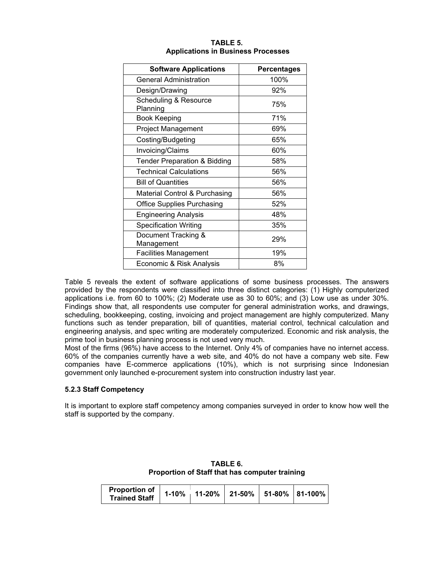| <b>Software Applications</b>                 | <b>Percentages</b> |
|----------------------------------------------|--------------------|
| <b>General Administration</b>                | 100%               |
| Design/Drawing                               | 92%                |
| <b>Scheduling &amp; Resource</b><br>Planning | 75%                |
| <b>Book Keeping</b>                          | 71%                |
| <b>Project Management</b>                    | 69%                |
| Costing/Budgeting                            | 65%                |
| Invoicing/Claims                             | 60%                |
| <b>Tender Preparation &amp; Bidding</b>      | 58%                |
| <b>Technical Calculations</b>                | 56%                |
| <b>Bill of Quantities</b>                    | 56%                |
| Material Control & Purchasing                | 56%                |
| <b>Office Supplies Purchasing</b>            | 52%                |
| <b>Engineering Analysis</b>                  | 48%                |
| <b>Specification Writing</b>                 | 35%                |
| Document Tracking &<br>Management            | 29%                |
| <b>Facilities Management</b>                 | 19%                |
| Economic & Risk Analysis                     | 8%                 |

## **TABLE 5. Applications in Business Processes**

Table 5 reveals the extent of software applications of some business processes. The answers provided by the respondents were classified into three distinct categories: (1) Highly computerized applications i.e. from 60 to 100%; (2) Moderate use as 30 to 60%; and (3) Low use as under 30%. Findings show that, all respondents use computer for general administration works, and drawings, scheduling, bookkeeping, costing, invoicing and project management are highly computerized. Many functions such as tender preparation, bill of quantities, material control, technical calculation and engineering analysis, and spec writing are moderately computerized. Economic and risk analysis, the prime tool in business planning process is not used very much.

Most of the firms (96%) have access to the Internet. Only 4% of companies have no internet access. 60% of the companies currently have a web site, and 40% do not have a company web site. Few companies have E-commerce applications (10%), which is not surprising since Indonesian government only launched e-procurement system into construction industry last year.

# **5.2.3 Staff Competency**

It is important to explore staff competency among companies surveyed in order to know how well the staff is supported by the company.

| TABLE 6.                                       |
|------------------------------------------------|
| Proportion of Staff that has computer training |
|                                                |

| Proportion of   1-10%   11-20%   21-50%   51-80%   81-100%  <br><b>Trained Staff</b> |  |  |  |  |  |
|--------------------------------------------------------------------------------------|--|--|--|--|--|
|--------------------------------------------------------------------------------------|--|--|--|--|--|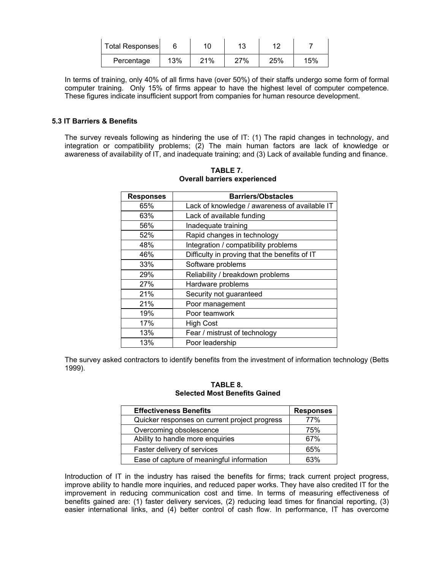| <b>Total Responses</b> |     |     | 13  |     |     |
|------------------------|-----|-----|-----|-----|-----|
| Percentage             | 13% | 21% | 27% | 25% | 15% |

In terms of training, only 40% of all firms have (over 50%) of their staffs undergo some form of formal computer training. Only 15% of firms appear to have the highest level of computer competence. These figures indicate insufficient support from companies for human resource development.

## **5.3 IT Barriers & Benefits**

The survey reveals following as hindering the use of IT: (1) The rapid changes in technology, and integration or compatibility problems; (2) The main human factors are lack of knowledge or awareness of availability of IT, and inadequate training; and (3) Lack of available funding and finance.

| <b>Responses</b> | <b>Barriers/Obstacles</b>                     |  |  |  |
|------------------|-----------------------------------------------|--|--|--|
| 65%              | Lack of knowledge / awareness of available IT |  |  |  |
| 63%              | Lack of available funding                     |  |  |  |
| 56%              | Inadequate training                           |  |  |  |
| 52%              | Rapid changes in technology                   |  |  |  |
| 48%              | Integration / compatibility problems          |  |  |  |
| 46%              | Difficulty in proving that the benefits of IT |  |  |  |
| 33%              | Software problems                             |  |  |  |
| 29%              | Reliability / breakdown problems              |  |  |  |
| 27%              | Hardware problems                             |  |  |  |
| 21%              | Security not guaranteed                       |  |  |  |
| 21%              | Poor management                               |  |  |  |
| 19%              | Poor teamwork                                 |  |  |  |
| 17%              | <b>High Cost</b>                              |  |  |  |
| 13%              | Fear / mistrust of technology                 |  |  |  |
| 13%              | Poor leadership                               |  |  |  |

**TABLE 7. Overall barriers experienced** 

The survey asked contractors to identify benefits from the investment of information technology (Betts 1999).

## **TABLE 8. Selected Most Benefits Gained**

| <b>Effectiveness Benefits</b>                 | <b>Responses</b> |
|-----------------------------------------------|------------------|
| Quicker responses on current project progress | 77%              |
| Overcoming obsolescence                       | 75%              |
| Ability to handle more enquiries              | 67%              |
| Faster delivery of services                   | 65%              |
| Ease of capture of meaningful information     | 63%              |

Introduction of IT in the industry has raised the benefits for firms; track current project progress, improve ability to handle more inquiries, and reduced paper works. They have also credited IT for the improvement in reducing communication cost and time. In terms of measuring effectiveness of benefits gained are: (1) faster delivery services, (2) reducing lead times for financial reporting, (3) easier international links, and (4) better control of cash flow. In performance, IT has overcome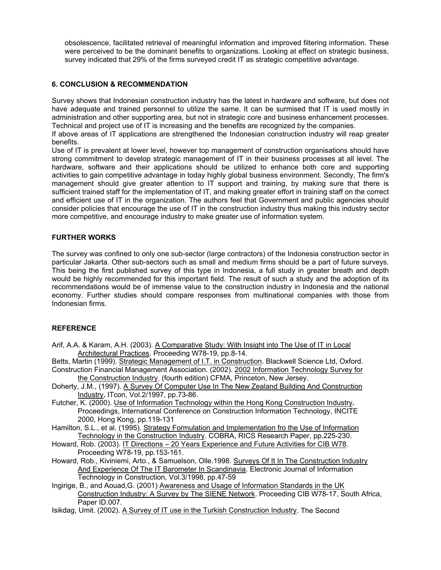obsolescence, facilitated retrieval of meaningful information and improved filtering information. These were perceived to be the dominant benefits to organizations. Looking at effect on strategic business, survey indicated that 29% of the firms surveyed credit IT as strategic competitive advantage.

# **6. CONCLUSION & RECOMMENDATION**

Survey shows that Indonesian construction industry has the latest in hardware and software, but does not have adequate and trained personnel to utilize the same. It can be surmised that IT is used mostly in administration and other supporting area, but not in strategic core and business enhancement processes. Technical and project use of IT is increasing and the benefits are recognized by the companies.

If above areas of IT applications are strengthened the Indonesian construction industry will reap greater benefits.

Use of IT is prevalent at lower level, however top management of construction organisations should have strong commitment to develop strategic management of IT in their business processes at all level. The hardware, software and their applications should be utilized to enhance both core and supporting activities to gain competitive advantage in today highly global business environment. Secondly, The firm's management should give greater attention to IT support and training, by making sure that there is sufficient trained staff for the implementation of IT, and making greater effort in training staff on the correct and efficient use of IT in the organization. The authors feel that Government and public agencies should consider policies that encourage the use of IT in the construction industry thus making this industry sector more competitive, and encourage industry to make greater use of information system.

# **FURTHER WORKS**

The survey was confined to only one sub-sector (large contractors) of the Indonesia construction sector in particular Jakarta. Other sub-sectors such as small and medium firms should be a part of future surveys. This being the first published survey of this type in Indonesia, a full study in greater breath and depth would be highly recommended for this important field. The result of such a study and the adoption of its recommendations would be of immense value to the construction industry in Indonesia and the national economy. Further studies should compare responses from multinational companies with those from Indonesian firms.

#### **REFERENCE**

- Arif, A.A. & Karam, A.H. (2003). A Comparative Study: With Insight into The Use of IT in Local Architectural Practices. Proceeding W78-19, pp.8-14.
- Betts, Martin (1999). Strategic Management of I.T. in Construction. Blackwell Science Ltd, Oxford. Construction Financial Management Association. (2002). 2002 Information Technology Survey for
- the Construction Industry, (fourth edition) CFMA, Princeton, New Jersey.
- Doherty, J.M., (1997). A Survey Of Computer Use In The New Zealand Building And Construction Industry**.** ITcon, Vol.2/1997, pp.73-86.
- Futcher, K. (2000). Use of Information Technology within the Hong Kong Construction Industry**.**  Proceedings, International Conference on Construction Information Technology, INCITE 2000, Hong Kong, pp.119-131
- Hamilton, S.L., et al. (1995). Strategy Formulation and Implementation fro the Use of Information Technology in the Construction Industry. COBRA, RICS Research Paper, pp.225-230.
- Howard, Rob. (2003). IT Directions 20 Years Experience and Future Activities for CIB W78. Proceeding W78-19, pp.153-161.
- Howard, Rob., Kiviniemi, Arto., & Samuelson, Olle.1998. Surveys Of It In The Construction Industry And Experience Of The IT Barometer In Scandinavia. Electronic Journal of Information Technology in Construction, Vol.3/1998, pp.47-59
- Ingirige, B., and Aouad,G. (2001) Awareness and Usage of Information Standards in the UK Construction Industry: A Survey by The SIENE Network. Proceeding CIB W78-17, South Africa, Paper ID.007.
- Isikdag, Umit. (2002). A Survey of IT use in the Turkish Construction Industry. The Second